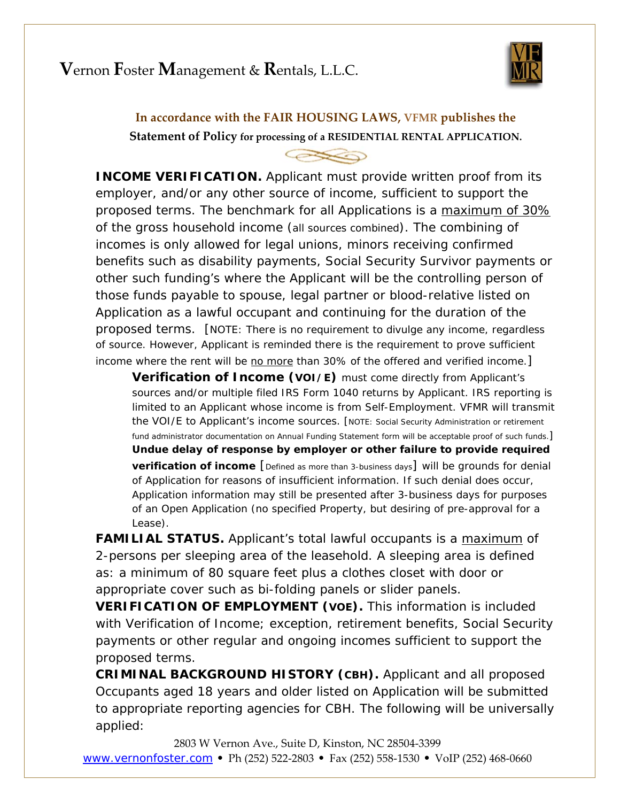# **V**ernon **F**oster **M**anagement & **R**entals, L.L.C.



## **In accordance with the FAIR HOUSING LAWS, VFMR publishes the Statement of Policy for processing of a RESIDENTIAL RENTAL APPLICATION.**

#### **CESSO**

**INCOME VERIFICATION.** Applicant must provide written proof from its employer, and/or any other source of income, sufficient to support the proposed terms. The benchmark for all Applications is a maximum of 30% of the gross household income (*all sources combined*). The combining of incomes is only allowed for legal unions, minors receiving confirmed benefits such as disability payments, Social Security Survivor payments or other such funding's where the Applicant will be the controlling person of those funds payable to spouse, legal partner or blood-relative listed on Application as a lawful occupant and continuing for the duration of the proposed terms. [NOTE: There is no requirement to divulge any income, regardless of source. However, Applicant is reminded there is the requirement to prove sufficient income where the rent will be no more than 30% of the offered *and* verified income.]

**Verification of Income (VOI/E)** must come directly from Applicant's sources and/or multiple filed IRS Form 1040 returns by Applicant. IRS reporting is limited to an Applicant whose income is from Self-Employment. VFMR will transmit the VOI/E to Applicant's income sources. [NOTE: Social Security Administration or retirement fund administrator documentation on Annual Funding Statement form will be acceptable proof of such funds.] **Undue delay of response by employer or other failure to provide required verification of income** [*Defined as more than 3-business days*] will be grounds for denial of Application *for reasons of insufficient information*. If such denial does occur, Application information may still be presented after 3-business days for purposes of an Open Application (no specified Property, but desiring of pre-approval for a Lease).

**FAMILIAL STATUS.** Applicant's total lawful occupants is a maximum of 2-persons per sleeping area of the leasehold. A sleeping area is defined as: a minimum of 80 square feet *plus* a clothes closet with door or appropriate cover such as bi-folding panels or slider panels.

**VERIFICATION OF EMPLOYMENT (VOE).** This information is included with Verification of Income; exception, retirement benefits, Social Security payments or other regular and ongoing incomes sufficient to support the proposed terms.

**CRIMINAL BACKGROUND HISTORY (CBH).** Applicant and all proposed Occupants aged 18 years and older listed on Application will be submitted to appropriate reporting agencies for CBH. The following will be universally applied:

2803 W Vernon Ave., Suite D, Kinston, NC 28504‐3399 www.vernonfoster.com **•** Ph (252) 522‐2803 **•** Fax (252) 558‐1530 **•** VoIP (252) 468‐0660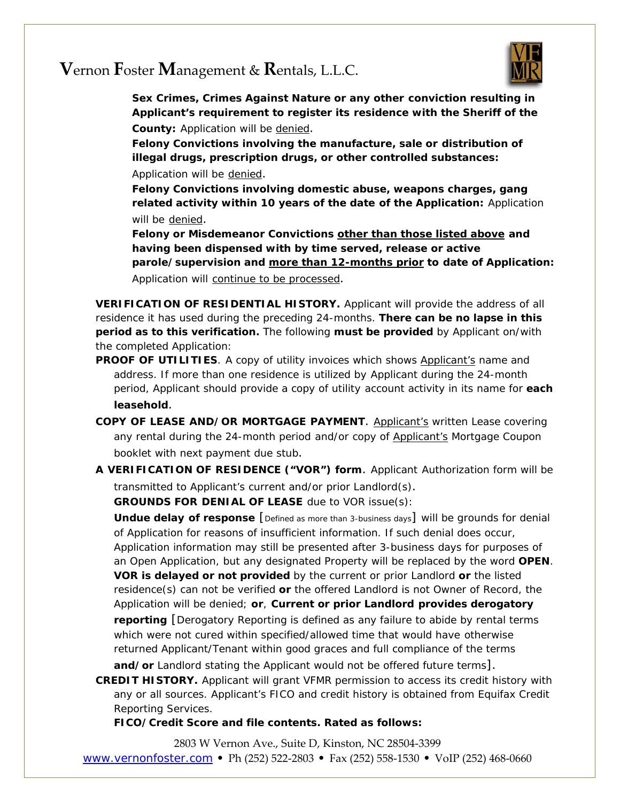## **V**ernon **F**oster **M**anagement & **R**entals, L.L.C.



**Sex Crimes, Crimes Against Nature or any other conviction resulting in Applicant's requirement to register its residence with the Sheriff of the County:** Application will be denied.

**Felony Convictions involving the manufacture, sale or distribution of illegal drugs, prescription drugs, or other controlled substances:** Application will be denied.

**Felony Convictions involving domestic abuse, weapons charges, gang related activity within 10 years of the date of the Application:** Application will be denied.

**Felony or Misdemeanor Convictions other than those listed above and having been dispensed with by time served, release or active parole/supervision and more than 12-months prior to date of Application:** Application will continue to be processed.

**VERIFICATION OF RESIDENTIAL HISTORY.** Applicant will provide the address of all residence it has used during the preceding 24-months. **There can be no lapse in this period as to this verification.** The following **must be provided** by Applicant on/with the completed Application:

- **PROOF OF UTILITIES**. A copy of utility invoices which shows Applicant's name and address. If more than one residence is utilized by Applicant during the 24-month period, Applicant should provide a copy of utility account activity in its name for **each leasehold**.
- **COPY OF LEASE AND/OR MORTGAGE PAYMENT**. Applicant's written Lease covering any rental during the 24-month period and/or copy of Applicant's Mortgage Coupon booklet with next payment due stub.
- **A VERIFICATION OF RESIDENCE ("VOR") form**. Applicant Authorization form will be transmitted to Applicant's current and/or prior Landlord(s).

**GROUNDS FOR DENIAL OF LEASE** due to VOR issue(s):

**Undue delay of response** [*Defined as more than 3-business days*] will be grounds for denial of Application *for reasons of insufficient information*. If such denial does occur, Application information may still be presented after 3-business days for purposes of an Open Application, but any designated Property will be replaced by the word **OPEN**. **VOR is delayed or not provided** by the current or prior Landlord **or** the listed residence(s) can not be verified **or** the offered Landlord is not Owner of Record, the Application will be denied; **or**, **Current or prior Landlord provides derogatory reporting** [Derogatory Reporting is defined as any failure to abide by rental terms which were not cured within specified/allowed time that would have otherwise returned Applicant/Tenant within good graces and full compliance of the terms **and/or** Landlord stating the Applicant would not be offered future terms].

**CREDIT HISTORY.** Applicant will grant VFMR permission to access its credit history with any or all sources. Applicant's FICO and credit history is obtained from Equifax Credit Reporting Services.

**FICO/Credit Score and file contents. Rated as follows:**

2803 W Vernon Ave., Suite D, Kinston, NC 28504‐3399 www.vernonfoster.com **•** Ph (252) 522‐2803 **•** Fax (252) 558‐1530 **•** VoIP (252) 468‐0660